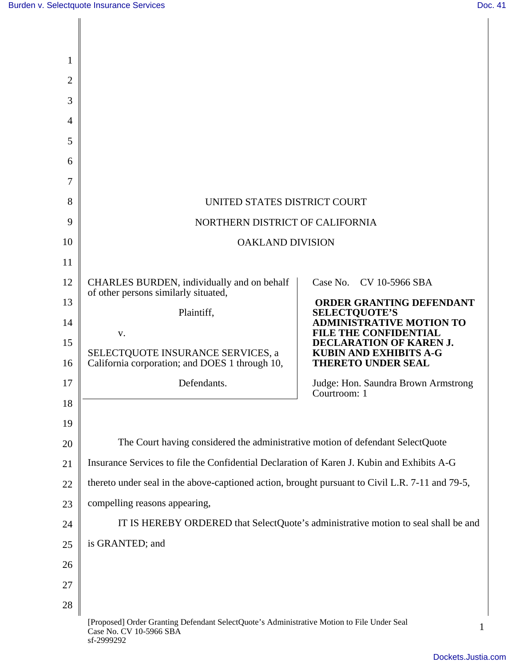║

| 1  |                                                                                                                                     |                                                            |
|----|-------------------------------------------------------------------------------------------------------------------------------------|------------------------------------------------------------|
| 2  |                                                                                                                                     |                                                            |
| 3  |                                                                                                                                     |                                                            |
| 4  |                                                                                                                                     |                                                            |
| 5  |                                                                                                                                     |                                                            |
| 6  |                                                                                                                                     |                                                            |
| 7  |                                                                                                                                     |                                                            |
| 8  | UNITED STATES DISTRICT COURT                                                                                                        |                                                            |
| 9  | NORTHERN DISTRICT OF CALIFORNIA                                                                                                     |                                                            |
| 10 | <b>OAKLAND DIVISION</b>                                                                                                             |                                                            |
| 11 |                                                                                                                                     |                                                            |
| 12 | CHARLES BURDEN, individually and on behalf                                                                                          | Case No. CV 10-5966 SBA                                    |
| 13 | of other persons similarly situated,                                                                                                | <b>ORDER GRANTING DEFENDANT</b>                            |
| 14 | Plaintiff,                                                                                                                          | <b>SELECTQUOTE'S</b><br><b>ADMINISTRATIVE MOTION TO</b>    |
| 15 | V.                                                                                                                                  | <b>FILE THE CONFIDENTIAL</b><br>DECLARATION OF KAREN J.    |
| 16 | SELECTQUOTE INSURANCE SERVICES, a<br>California corporation; and DOES 1 through 10,                                                 | <b>KUBIN AND EXHIBITS A-G</b><br><b>THERETO UNDER SEAL</b> |
| 17 | Defendants.                                                                                                                         | Judge: Hon. Saundra Brown Armstrong<br>Courtroom: 1        |
| 18 |                                                                                                                                     |                                                            |
| 19 |                                                                                                                                     |                                                            |
| 20 | The Court having considered the administrative motion of defendant SelectQuote                                                      |                                                            |
| 21 | Insurance Services to file the Confidential Declaration of Karen J. Kubin and Exhibits A-G                                          |                                                            |
| 22 | thereto under seal in the above-captioned action, brought pursuant to Civil L.R. 7-11 and 79-5,                                     |                                                            |
| 23 | compelling reasons appearing,                                                                                                       |                                                            |
| 24 | IT IS HEREBY ORDERED that SelectQuote's administrative motion to seal shall be and                                                  |                                                            |
| 25 | is GRANTED; and                                                                                                                     |                                                            |
| 26 |                                                                                                                                     |                                                            |
| 27 |                                                                                                                                     |                                                            |
| 28 |                                                                                                                                     |                                                            |
|    | [Proposed] Order Granting Defendant SelectQuote's Administrative Motion to File Under Seal<br>Case No. CV 10-5966 SBA<br>sf-2999292 | 1                                                          |